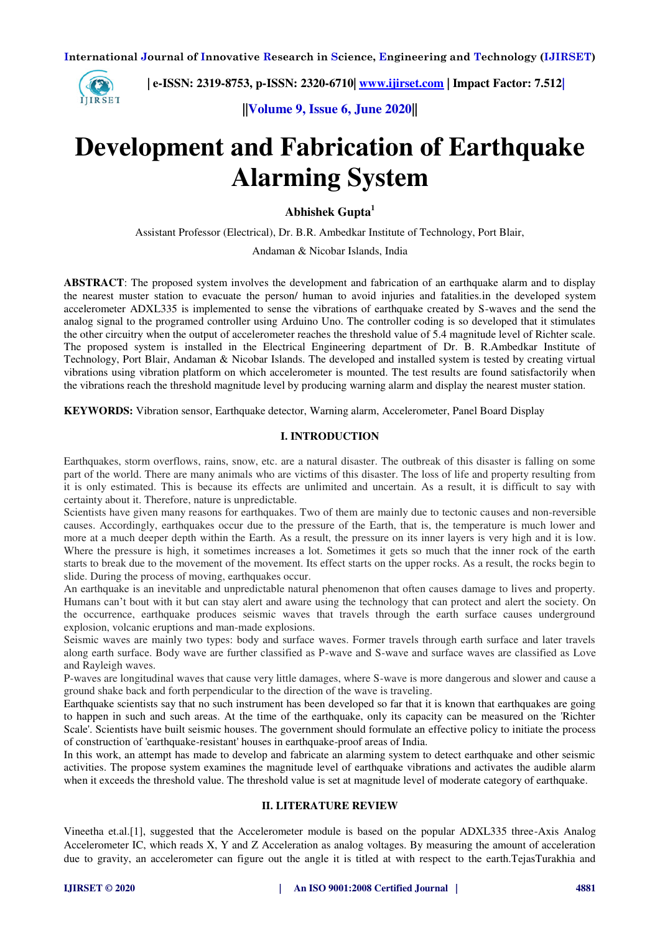

 **| e-ISSN: 2319-8753, p-ISSN: 2320-6710| [www.ijirset.com](http://www.ijirset.com/) | Impact Factor: 7.512|**

**||Volume 9, Issue 6, June 2020||** 

# **Development and Fabrication of Earthquake Alarming System**

**Abhishek Gupta<sup>1</sup>**

Assistant Professor (Electrical), Dr. B.R. Ambedkar Institute of Technology, Port Blair,

Andaman & Nicobar Islands, India

**ABSTRACT**: The proposed system involves the development and fabrication of an earthquake alarm and to display the nearest muster station to evacuate the person/ human to avoid injuries and fatalities.in the developed system accelerometer ADXL335 is implemented to sense the vibrations of earthquake created by S-waves and the send the analog signal to the programed controller using Arduino Uno. The controller coding is so developed that it stimulates the other circuitry when the output of accelerometer reaches the threshold value of 5.4 magnitude level of Richter scale. The proposed system is installed in the Electrical Engineering department of Dr. B. R.Ambedkar Institute of Technology, Port Blair, Andaman & Nicobar Islands. The developed and installed system is tested by creating virtual vibrations using vibration platform on which accelerometer is mounted. The test results are found satisfactorily when the vibrations reach the threshold magnitude level by producing warning alarm and display the nearest muster station.

**KEYWORDS:** Vibration sensor, Earthquake detector, Warning alarm, Accelerometer, Panel Board Display

## **I. INTRODUCTION**

Earthquakes, storm overflows, rains, snow, etc. are a natural disaster. The outbreak of this disaster is falling on some part of the world. There are many animals who are victims of this disaster. The loss of life and property resulting from it is only estimated. This is because its effects are unlimited and uncertain. As a result, it is difficult to say with certainty about it. Therefore, nature is unpredictable.

Scientists have given many reasons for earthquakes. Two of them are mainly due to tectonic causes and non-reversible causes. Accordingly, earthquakes occur due to the pressure of the Earth, that is, the temperature is much lower and more at a much deeper depth within the Earth. As a result, the pressure on its inner layers is very high and it is low. Where the pressure is high, it sometimes increases a lot. Sometimes it gets so much that the inner rock of the earth starts to break due to the movement of the movement. Its effect starts on the upper rocks. As a result, the rocks begin to slide. During the process of moving, earthquakes occur.

An earthquake is an inevitable and unpredictable natural phenomenon that often causes damage to lives and property. Humans can't bout with it but can stay alert and aware using the technology that can protect and alert the society. On the occurrence, earthquake produces seismic waves that travels through the earth surface causes underground explosion, volcanic eruptions and man-made explosions.

Seismic waves are mainly two types: body and surface waves. Former travels through earth surface and later travels along earth surface. Body wave are further classified as P-wave and S-wave and surface waves are classified as Love and Rayleigh waves.

P-waves are longitudinal waves that cause very little damages, where S-wave is more dangerous and slower and cause a ground shake back and forth perpendicular to the direction of the wave is traveling.

Earthquake scientists say that no such instrument has been developed so far that it is known that earthquakes are going to happen in such and such areas. At the time of the earthquake, only its capacity can be measured on the 'Richter Scale'. Scientists have built seismic houses. The government should formulate an effective policy to initiate the process of construction of 'earthquake-resistant' houses in earthquake-proof areas of India.

In this work, an attempt has made to develop and fabricate an alarming system to detect earthquake and other seismic activities. The propose system examines the magnitude level of earthquake vibrations and activates the audible alarm when it exceeds the threshold value. The threshold value is set at magnitude level of moderate category of earthquake.

## **II. LITERATURE REVIEW**

Vineetha et.al.[1], suggested that the Accelerometer module is based on the popular ADXL335 three-Axis Analog Accelerometer IC, which reads X, Y and Z Acceleration as analog voltages. By measuring the amount of acceleration due to gravity, an accelerometer can figure out the angle it is titled at with respect to the earth.TejasTurakhia and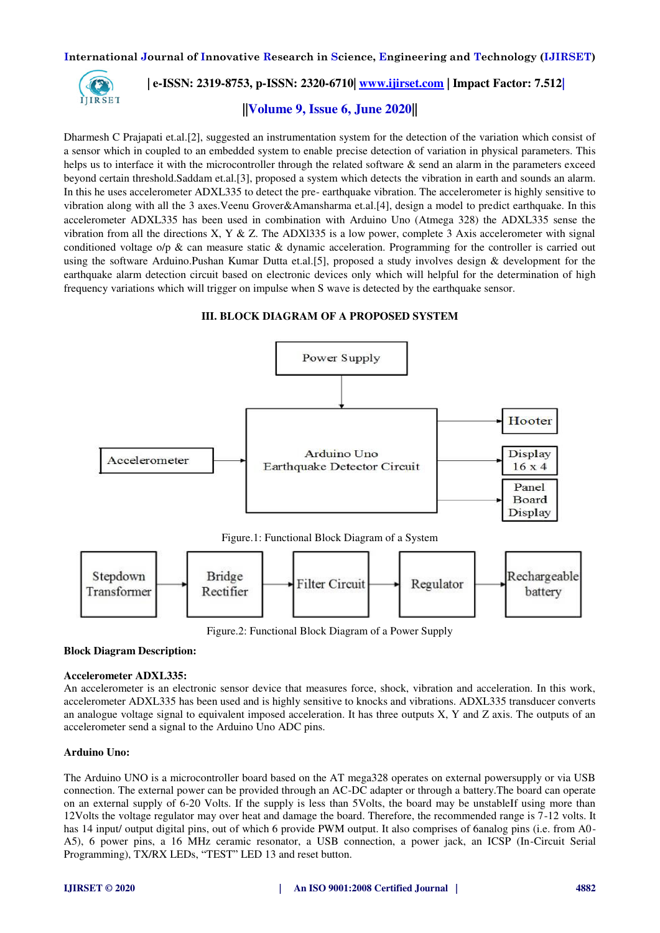

# **| e-ISSN: 2319-8753, p-ISSN: 2320-6710| [www.ijirset.com](http://www.ijirset.com/) | Impact Factor: 7.512|**

# **||Volume 9, Issue 6, June 2020||**

Dharmesh C Prajapati et.al.[2], suggested an instrumentation system for the detection of the variation which consist of a sensor which in coupled to an embedded system to enable precise detection of variation in physical parameters. This helps us to interface it with the microcontroller through the related software & send an alarm in the parameters exceed beyond certain threshold.Saddam et.al.[3], proposed a system which detects the vibration in earth and sounds an alarm. In this he uses accelerometer ADXL335 to detect the pre- earthquake vibration. The accelerometer is highly sensitive to vibration along with all the 3 axes.Veenu Grover&Amansharma et.al.[4], design a model to predict earthquake. In this accelerometer ADXL335 has been used in combination with Arduino Uno (Atmega 328) the ADXL335 sense the vibration from all the directions X, Y & Z. The ADX1335 is a low power, complete 3 Axis accelerometer with signal conditioned voltage o/p  $\&$  can measure static  $\&$  dynamic acceleration. Programming for the controller is carried out using the software Arduino.Pushan Kumar Dutta et.al.[5], proposed a study involves design & development for the earthquake alarm detection circuit based on electronic devices only which will helpful for the determination of high frequency variations which will trigger on impulse when S wave is detected by the earthquake sensor.

#### **III. BLOCK DIAGRAM OF A PROPOSED SYSTEM**



Figure.2: Functional Block Diagram of a Power Supply

## **Block Diagram Description:**

#### **Accelerometer ADXL335:**

An accelerometer is an electronic sensor device that measures force, shock, vibration and acceleration. In this work, accelerometer ADXL335 has been used and is highly sensitive to knocks and vibrations. ADXL335 transducer converts an analogue voltage signal to equivalent imposed acceleration. It has three outputs  $X$ ,  $Y$  and  $Z$  axis. The outputs of an accelerometer send a signal to the Arduino Uno ADC pins.

#### **Arduino Uno:**

The Arduino UNO is a microcontroller board based on the AT mega328 operates on external powersupply or via USB connection. The external power can be provided through an AC-DC adapter or through a battery.The board can operate on an external supply of 6-20 Volts. If the supply is less than 5Volts, the board may be unstableIf using more than 12Volts the voltage regulator may over heat and damage the board. Therefore, the recommended range is 7-12 volts. It has 14 input/ output digital pins, out of which 6 provide PWM output. It also comprises of 6analog pins (i.e. from A0- A5), 6 power pins, a 16 MHz ceramic resonator, a USB connection, a power jack, an ICSP (In-Circuit Serial Programming), TX/RX LEDs, "TEST" LED 13 and reset button.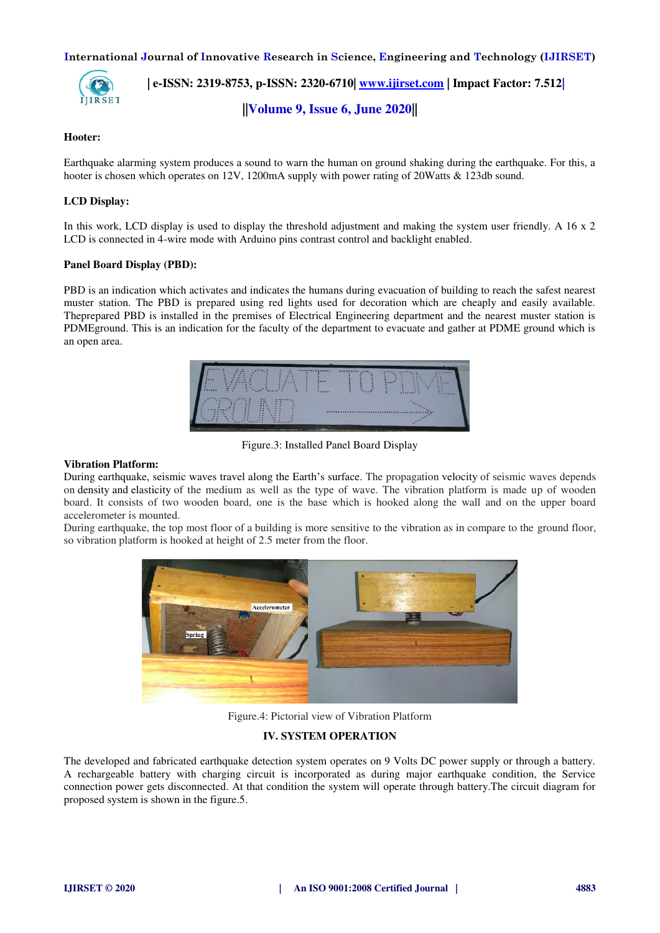

 **| e-ISSN: 2319-8753, p-ISSN: 2320-6710| [www.ijirset.com](http://www.ijirset.com/) | Impact Factor: 7.512|**

**||Volume 9, Issue 6, June 2020||** 

## **Hooter:**

Earthquake alarming system produces a sound to warn the human on ground shaking during the earthquake. For this, a hooter is chosen which operates on 12V, 1200mA supply with power rating of 20Watts & 123db sound.

## **LCD Display:**

In this work, LCD display is used to display the threshold adjustment and making the system user friendly. A 16 x 2 LCD is connected in 4-wire mode with Arduino pins contrast control and backlight enabled.

## **Panel Board Display (PBD):**

PBD is an indication which activates and indicates the humans during evacuation of building to reach the safest nearest muster station. The PBD is prepared using red lights used for decoration which are cheaply and easily available. Theprepared PBD is installed in the premises of Electrical Engineering department and the nearest muster station is PDMEground. This is an indication for the faculty of the department to evacuate and gather at PDME ground which is an open area.



Figure.3: Installed Panel Board Display

#### **Vibration Platform:**

During earthquake, seismic waves travel along the Earth's surface. The propagatio[n velocity](https://en.wikipedia.org/wiki/Signal_velocity) of seismic waves depends on [density](https://en.wikipedia.org/wiki/Density) and [elasticity o](https://en.wikipedia.org/wiki/Elasticity_(physics))f the medium as well as the type of wave. The vibration platform is made up of wooden board. It consists of two wooden board, one is the base which is hooked along the wall and on the upper board accelerometer is mounted.

During earthquake, the top most floor of a building is more sensitive to the vibration as in compare to the ground floor, so vibration platform is hooked at height of 2.5 meter from the floor.



Figure.4: Pictorial view of Vibration Platform

## **IV. SYSTEM OPERATION**

The developed and fabricated earthquake detection system operates on 9 Volts DC power supply or through a battery. A rechargeable battery with charging circuit is incorporated as during major earthquake condition, the Service connection power gets disconnected. At that condition the system will operate through battery.The circuit diagram for proposed system is shown in the figure.5.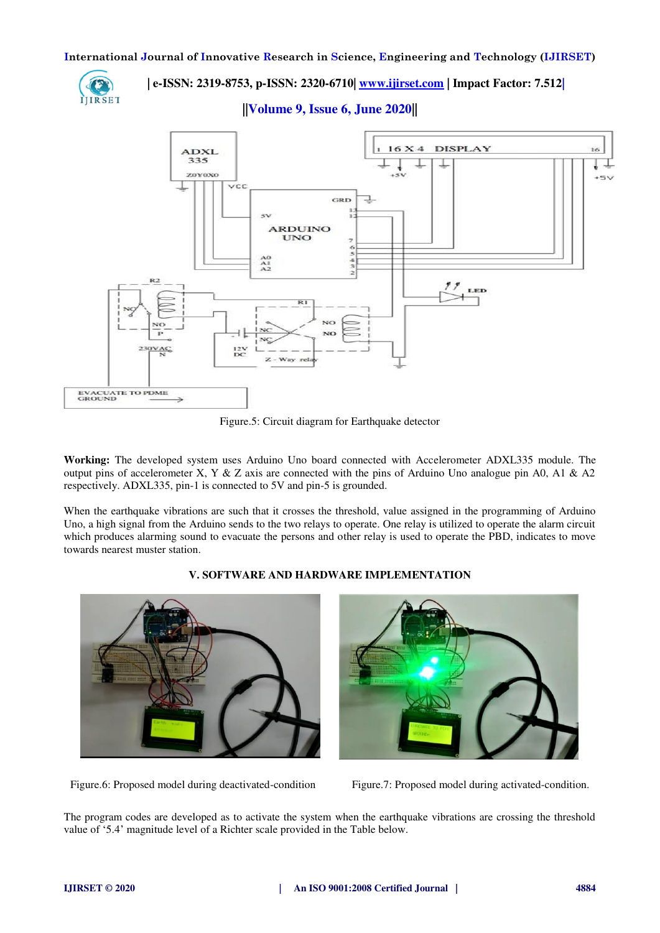

 **| e-ISSN: 2319-8753, p-ISSN: 2320-6710| [www.ijirset.com](http://www.ijirset.com/) | Impact Factor: 7.512|**

**||Volume 9, Issue 6, June 2020||** 



Figure.5: Circuit diagram for Earthquake detector

**Working:** The developed system uses Arduino Uno board connected with Accelerometer ADXL335 module. The output pins of accelerometer X, Y & Z axis are connected with the pins of Arduino Uno analogue pin A0, A1 & A2 respectively. ADXL335, pin-1 is connected to 5V and pin-5 is grounded.

When the earthquake vibrations are such that it crosses the threshold, value assigned in the programming of Arduino Uno, a high signal from the Arduino sends to the two relays to operate. One relay is utilized to operate the alarm circuit which produces alarming sound to evacuate the persons and other relay is used to operate the PBD, indicates to move towards nearest muster station.



## **V. SOFTWARE AND HARDWARE IMPLEMENTATION**



Figure.6: Proposed model during deactivated-condition Figure.7: Proposed model during activated-condition.

The program codes are developed as to activate the system when the earthquake vibrations are crossing the threshold value of '5.4' magnitude level of a Richter scale provided in the Table below.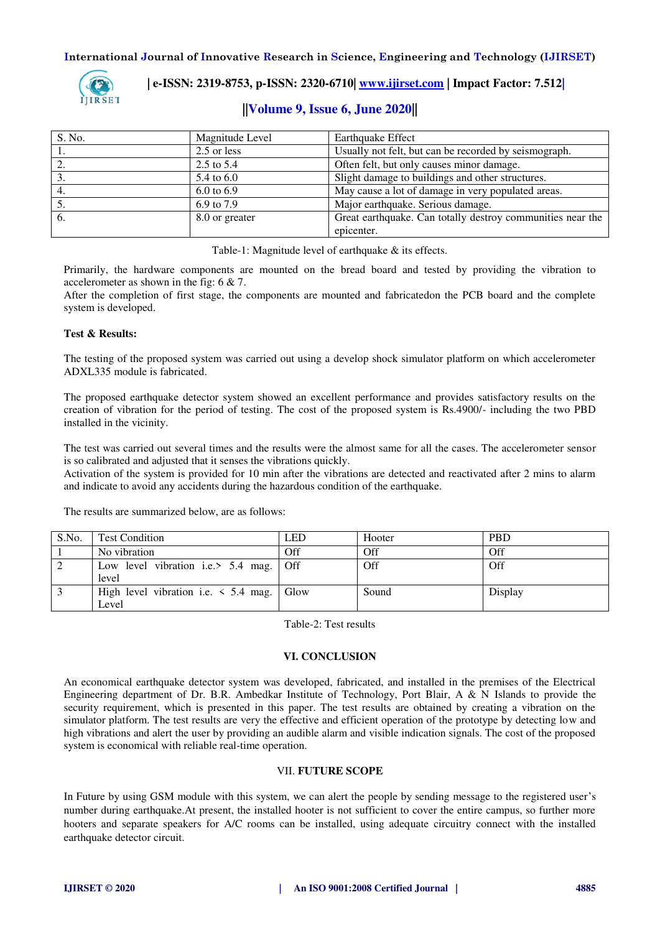

 **| e-ISSN: 2319-8753, p-ISSN: 2320-6710| [www.ijirset.com](http://www.ijirset.com/) | Impact Factor: 7.512|**

# **||Volume 9, Issue 6, June 2020||**

| S. No. | Magnitude Level       | <b>Earthquake Effect</b>                                   |  |
|--------|-----------------------|------------------------------------------------------------|--|
|        | 2.5 or less           | Usually not felt, but can be recorded by seismograph.      |  |
|        | $2.5 \text{ to } 5.4$ | Often felt, but only causes minor damage.                  |  |
|        | 5.4 to 6.0            | Slight damage to buildings and other structures.           |  |
|        | $6.0 \text{ to } 6.9$ | May cause a lot of damage in very populated areas.         |  |
|        | 6.9 to 7.9            | Major earthquake. Serious damage.                          |  |
|        | 8.0 or greater        | Great earthquake. Can totally destroy communities near the |  |
|        |                       | epicenter.                                                 |  |

Table-1: Magnitude level of earthquake & its effects.

Primarily, the hardware components are mounted on the bread board and tested by providing the vibration to accelerometer as shown in the fig: 6 & 7.

After the completion of first stage, the components are mounted and fabricatedon the PCB board and the complete system is developed.

## **Test & Results:**

The testing of the proposed system was carried out using a develop shock simulator platform on which accelerometer ADXL335 module is fabricated.

The proposed earthquake detector system showed an excellent performance and provides satisfactory results on the creation of vibration for the period of testing. The cost of the proposed system is Rs.4900/- including the two PBD installed in the vicinity.

The test was carried out several times and the results were the almost same for all the cases. The accelerometer sensor is so calibrated and adjusted that it senses the vibrations quickly.

Activation of the system is provided for 10 min after the vibrations are detected and reactivated after 2 mins to alarm and indicate to avoid any accidents during the hazardous condition of the earthquake.

The results are summarized below, are as follows:

| S.No. | <b>Test Condition</b>                          | LED | Hooter | <b>PBD</b> |
|-------|------------------------------------------------|-----|--------|------------|
|       | No vibration                                   | Off | Off    | Off        |
|       | Low level vibration i.e.> 5.4 mag. Off         |     | Off    | Off        |
|       | level                                          |     |        |            |
|       | High level vibration i.e. $\leq 5.4$ mag. Glow |     | Sound  | Display    |
|       | Level                                          |     |        |            |

Table-2: Test results

#### **VI. CONCLUSION**

An economical earthquake detector system was developed, fabricated, and installed in the premises of the Electrical Engineering department of Dr. B.R. Ambedkar Institute of Technology, Port Blair, A & N Islands to provide the security requirement, which is presented in this paper. The test results are obtained by creating a vibration on the simulator platform. The test results are very the effective and efficient operation of the prototype by detecting low and high vibrations and alert the user by providing an audible alarm and visible indication signals. The cost of the proposed system is economical with reliable real-time operation.

## VII. **FUTURE SCOPE**

In Future by using GSM module with this system, we can alert the people by sending message to the registered user's number during earthquake.At present, the installed hooter is not sufficient to cover the entire campus, so further more hooters and separate speakers for A/C rooms can be installed, using adequate circuitry connect with the installed earthquake detector circuit.